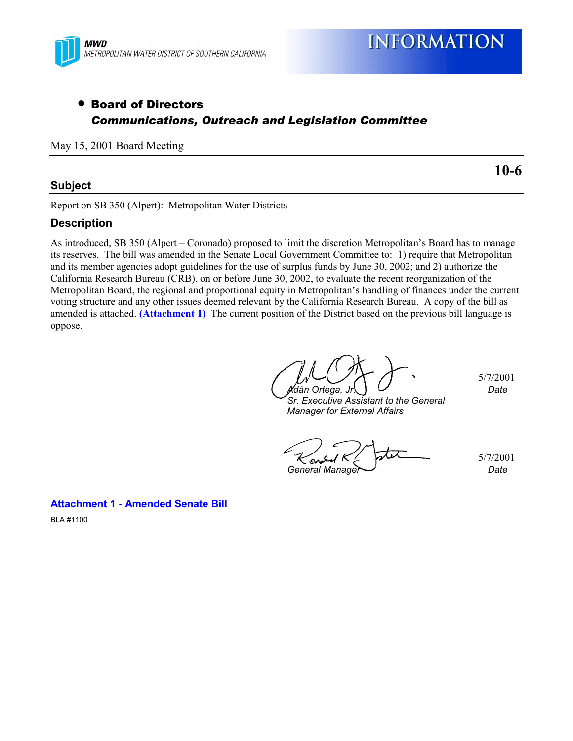

# • Board of Directors *Communications, Outreach and Legislation Committee*

May 15, 2001 Board Meeting

## **Subject**

**10-6**

### Report on SB 350 (Alpert): Metropolitan Water Districts

## **Description**

As introduced, SB 350 (Alpert – Coronado) proposed to limit the discretion Metropolitan's Board has to manage its reserves. The bill was amended in the Senate Local Government Committee to: 1) require that Metropolitan and its member agencies adopt guidelines for the use of surplus funds by June 30, 2002; and 2) authorize the California Research Bureau (CRB), on or before June 30, 2002, to evaluate the recent reorganization of the Metropolitan Board, the regional and proportional equity in Metropolitan's handling of finances under the current voting structure and any other issues deemed relevant by the California Research Bureau. A copy of the bill as amended is attached. **(Attachment 1)** The current position of the District based on the previous bill language is oppose.

5/7/2001 *Ad·n Ortega, Jr. Date*

*Sr. Executive Assistant to the General Manager for External Affairs*

5/7/2001 **General Manager Date** 

**Attachment 1 - Amended Senate Bill** BLA #1100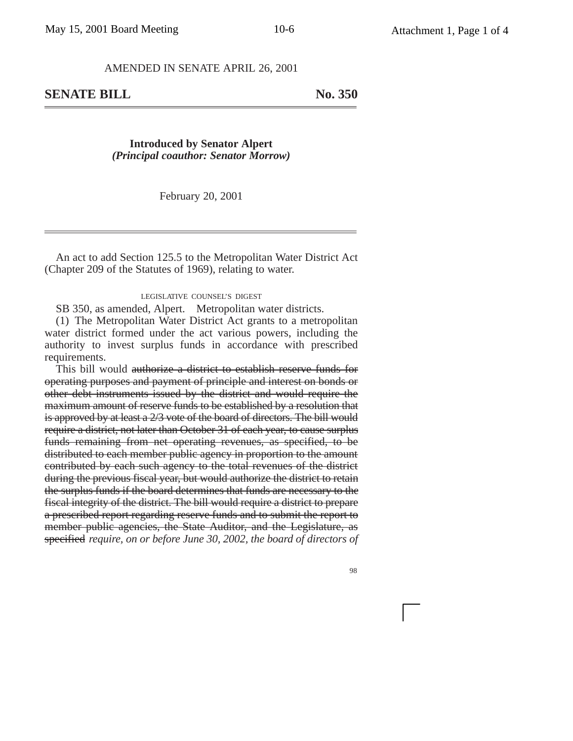#### AMENDED IN SENATE APRIL 26, 2001

**SENATE BILL** No. 350

**Introduced by Senator Alpert** *(Principal coauthor: Senator Morrow)*

February 20, 2001

An act to add Section 125.5 to the Metropolitan Water District Act (Chapter 209 of the Statutes of 1969), relating to water.

#### LEGISLATIVE COUNSEL'S DIGEST

SB 350, as amended, Alpert. Metropolitan water districts.

(1) The Metropolitan Water District Act grants to a metropolitan water district formed under the act various powers, including the authority to invest surplus funds in accordance with prescribed requirements.

This bill would authorize a district to establish reserve funds for operating purposes and payment of principle and interest on bonds or other debt instruments issued by the district and would require the maximum amount of reserve funds to be established by a resolution that is approved by at least a 2/3 vote of the board of directors. The bill would require a district, not later than October 31 of each year, to cause surplus funds remaining from net operating revenues, as specified, to be distributed to each member public agency in proportion to the amount contributed by each such agency to the total revenues of the district during the previous fiscal year, but would authorize the district to retain the surplus funds if the board determines that funds are necessary to the fiscal integrity of the district. The bill would require a district to prepare a prescribed report regarding reserve funds and to submit the report to member public agencies, the State Auditor, and the Legislature, as specified *require, on or before June 30, 2002, the board of directors of*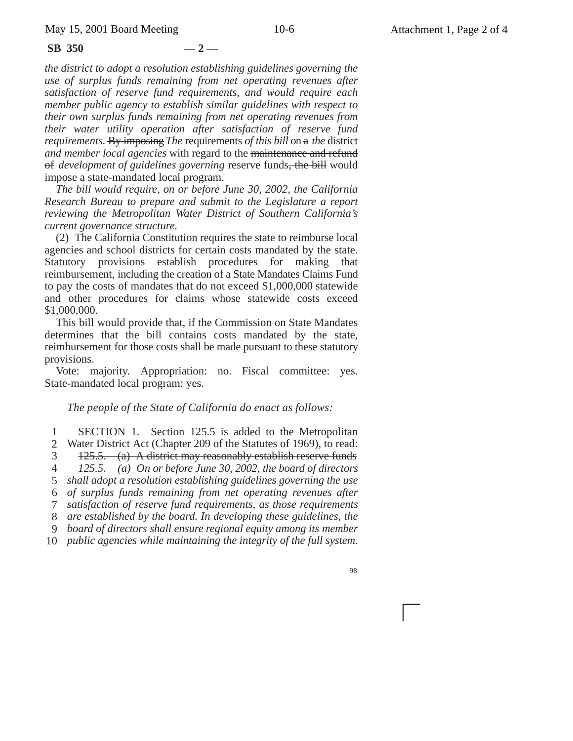**SB 350 — 2 —**

*the district to adopt a resolution establishing guidelines governing the use of surplus funds remaining from net operating revenues after satisfaction of reserve fund requirements, and would require each member public agency to establish similar guidelines with respect to their own surplus funds remaining from net operating revenues from their water utility operation after satisfaction of reserve fund requirements*. By imposing *The* requirements *of this bill* on a *the* district *and member local agencies* with regard to the maintenance and refund of *development of guidelines governing* reserve funds, the bill would impose a state-mandated local program.

*The bill would require, on or before June 30, 2002, the California Research Bureau to prepare and submit to the Legislature a report reviewing the Metropolitan Water District of Southern California's current governance structure.*

(2) The California Constitution requires the state to reimburse local agencies and school districts for certain costs mandated by the state. Statutory provisions establish procedures for making that reimbursement, including the creation of a State Mandates Claims Fund to pay the costs of mandates that do not exceed \$1,000,000 statewide and other procedures for claims whose statewide costs exceed \$1,000,000.

This bill would provide that, if the Commission on State Mandates determines that the bill contains costs mandated by the state, reimbursement for those costs shall be made pursuant to these statutory provisions.

Vote: majority. Appropriation: no. Fiscal committee: yes. State-mandated local program: yes.

### *The people of the State of California do enact as follows:*

1 2 3 4 5 *shall adopt a resolution establishing guidelines governing the use* 6 *of surplus funds remaining from net operating revenues after* 7 8 9 10 *public agencies while maintaining the integrity of the full system.* SECTION 1. Section 125.5 is added to the Metropolitan Water District Act (Chapter 209 of the Statutes of 1969), to read: 125.5. (a) A district may reasonably establish reserve funds *125.5. (a) On or before June 30, 2002, the board of directors satisfaction of reserve fund requirements, as those requirements are established by the board. In developing these guidelines, the board of directors shall ensure regional equity among its member*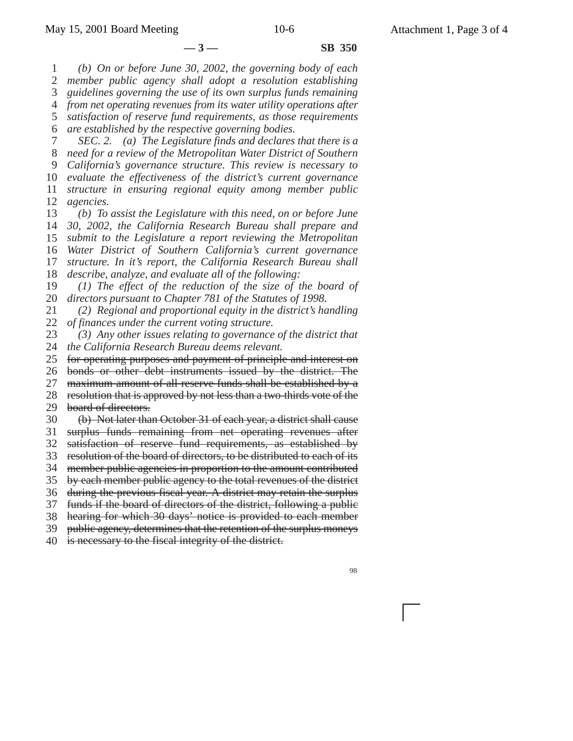1 2 3 4 *from net operating revenues from its water utility operations after* 5 6 7 8 9 10 11 12 13 14 15 16 17 18 19 20 21 22 23 24 25 26 27 28 29 **—3— SB 350** *(b) On or before June 30, 2002, the governing body of each member public agency shall adopt a resolution establishing guidelines governing the use of its own surplus funds remaining satisfaction of reserve fund requirements, as those requirements are established by the respective governing bodies. SEC. 2. (a) The Legislature finds and declares that there is a need for a review of the Metropolitan Water District of Southern California's governance structure. This review is necessary to evaluate the effectiveness of the district's current governance structure in ensuring regional equity among member public agencies. (b) To assist the Legislature with this need, on or before June 30, 2002, the California Research Bureau shall prepare and submit to the Legislature a report reviewing the Metropolitan Water District of Southern California's current governance structure. In it's report, the California Research Bureau shall describe, analyze, and evaluate all of the following: (1) The effect of the reduction of the size of the board of directors pursuant to Chapter 781 of the Statutes of 1998. (2) Regional and proportional equity in the district's handling of finances under the current voting structure. (3) Any other issues relating to governance of the district that the California Research Bureau deems relevant.* for operating purposes and payment of principle and interest on bonds or other debt instruments issued by the district. The maximum amount of all reserve funds shall be established by a resolution that is approved by not less than a two-thirds vote of the board of directors.

30 (b) Not later than October 31 of each year, a district shall cause

31 surplus funds remaining from net operating revenues after

32 satisfaction of reserve fund requirements, as established by

33 resolution of the board of directors, to be distributed to each of its

34 member public agencies in proportion to the amount contributed

35 36 during the previous fiscal year. A district may retain the surplus by each member public agency to the total revenues of the district

37 funds if the board of directors of the district, following a public

38 hearing for which 30 days' notice is provided to each member

39 public agency, determines that the retention of the surplus moneys

40 is necessary to the fiscal integrity of the district.